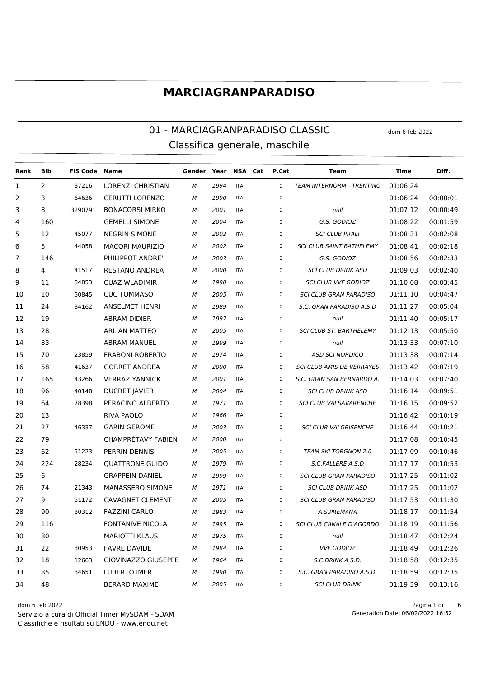### 01 - MARCIAGRANPARADISO CLASSIC dom 6 feb 2022 Classifica generale, maschile

| Rank | Bib | <b>FIS Code Name</b> |                         | Gender Year NSA Cat P.Cat |      |            |             | Team                             | Time     | Diff.    |
|------|-----|----------------------|-------------------------|---------------------------|------|------------|-------------|----------------------------------|----------|----------|
| 1    | 2   | 37216                | LORENZI CHRISTIAN       | м                         | 1994 | <b>ITA</b> | $\mathbf 0$ | <b>TEAM INTERNORM - TRENTINO</b> | 01:06:24 |          |
| 2    | 3   | 64636                | <b>CERUTTI LORENZO</b>  | м                         | 1990 | <b>ITA</b> | $\mathbf 0$ |                                  | 01:06:24 | 00:00:01 |
| 3    | 8   | 3290791              | <b>BONACORSI MIRKO</b>  | м                         | 2001 | <b>ITA</b> | 0           | null                             | 01:07:12 | 00:00:49 |
| 4    | 160 |                      | <b>GEMELLI SIMONE</b>   | М                         | 2004 | <b>ITA</b> | 0           | G.S. GODIOZ                      | 01:08:22 | 00:01:59 |
| 5    | 12  | 45077                | <b>NEGRIN SIMONE</b>    | М                         | 2002 | <b>ITA</b> | 0           | <b>SCI CLUB PRALI</b>            | 01:08:31 | 00:02:08 |
| 6    | 5   | 44058                | <b>MACORI MAURIZIO</b>  | м                         | 2002 | <b>ITA</b> | 0           | <b>SCI CLUB SAINT BATHELEMY</b>  | 01:08:41 | 00:02:18 |
| 7    | 146 |                      | PHILIPPOT ANDRE'        | м                         | 2003 | <b>ITA</b> | 0           | G.S. GODIOZ                      | 01:08:56 | 00:02:33 |
| 8    | 4   | 41517                | <b>RESTANO ANDREA</b>   | М                         | 2000 | <b>ITA</b> | 0           | <b>SCI CLUB DRINK ASD</b>        | 01:09:03 | 00:02:40 |
| 9    | 11  | 34853                | <b>CUAZ WLADIMIR</b>    | м                         | 1990 | <b>ITA</b> | 0           | <b>SCI CLUB VVF GODIOZ</b>       | 01:10:08 | 00:03:45 |
| 10   | 10  | 50845                | <b>CUC TOMMASO</b>      | м                         | 2005 | <b>ITA</b> | 0           | <b>SCI CLUB GRAN PARADISO</b>    | 01:11:10 | 00:04:47 |
| 11   | 24  | 34162                | <b>ANSELMET HENRI</b>   | м                         | 1989 | <b>ITA</b> | 0           | S.C. GRAN PARADISO A.S.D         | 01:11:27 | 00:05:04 |
| 12   | 19  |                      | <b>ABRAM DIDIER</b>     | м                         | 1992 | <b>ITA</b> | 0           | null                             | 01:11:40 | 00:05:17 |
| 13   | 28  |                      | <b>ARLIAN MATTEO</b>    | М                         | 2005 | <b>ITA</b> | 0           | <b>SCI CLUB ST. BARTHELEMY</b>   | 01:12:13 | 00:05:50 |
| 14   | 83  |                      | <b>ABRAM MANUEL</b>     | М                         | 1999 | <b>ITA</b> | $\mathbf 0$ | null                             | 01:13:33 | 00:07:10 |
| 15   | 70  | 23859                | <b>FRABONI ROBERTO</b>  | м                         | 1974 | <b>ITA</b> | 0           | <b>ASD SCI NORDICO</b>           | 01:13:38 | 00:07:14 |
| 16   | 58  | 41637                | <b>GORRET ANDREA</b>    | М                         | 2000 | <b>ITA</b> | 0           | <b>SCI CLUB AMIS DE VERRAYES</b> | 01:13:42 | 00:07:19 |
| 17   | 165 | 43266                | <b>VERRAZ YANNICK</b>   | м                         | 2001 | <b>ITA</b> | 0           | S.C. GRAN SAN BERNARDO A.        | 01:14:03 | 00:07:40 |
| 18   | 96  | 40148                | <b>DUCRET JAVIER</b>    | М                         | 2004 | <b>ITA</b> | 0           | <b>SCI CLUB DRINK ASD</b>        | 01:16:14 | 00:09:51 |
| 19   | 64  | 78398                | PERACINO ALBERTO        | М                         | 1971 | <b>ITA</b> | 0           | SCI CLUB VALSAVARENCHE           | 01:16:15 | 00:09:52 |
| 20   | 13  |                      | <b>RIVA PAOLO</b>       | М                         | 1966 | <b>ITA</b> | 0           |                                  | 01:16:42 | 00:10:19 |
| 21   | 27  | 46337                | <b>GARIN GEROME</b>     | М                         | 2003 | <b>ITA</b> | 0           | <b>SCI CLUB VALGRISENCHE</b>     | 01:16:44 | 00:10:21 |
| 22   | 79  |                      | CHAMPRÉTAVY FABIEN      | м                         | 2000 | <b>ITA</b> | 0           |                                  | 01:17:08 | 00:10:45 |
| 23   | 62  | 51223                | PERRIN DENNIS           | М                         | 2005 | <b>ITA</b> | 0           | <b>TEAM SKI TORGNON 2.0</b>      | 01:17:09 | 00:10:46 |
| 24   | 224 | 28234                | <b>QUATTRONE GUIDO</b>  | М                         | 1979 | <b>ITA</b> | 0           | S.C.FALLERE A.S.D                | 01:17:17 | 00:10:53 |
| 25   | 6   |                      | <b>GRAPPEIN DANIEL</b>  | м                         | 1999 | <b>ITA</b> | 0           | <b>SCI CLUB GRAN PARADISO</b>    | 01:17:25 | 00:11:02 |
| 26   | 74  | 21343                | MANASSERO SIMONE        | М                         | 1971 | <b>ITA</b> | 0           | <b>SCI CLUB DRINK ASD</b>        | 01:17:25 | 00:11:02 |
| 27   | 9   | 51172                | <b>CAVAGNET CLEMENT</b> | М                         | 2005 | <b>ITA</b> | 0           | <b>SCI CLUB GRAN PARADISO</b>    | 01:17:53 | 00:11:30 |
| 28   | 90  | 30312                | <b>FAZZINI CARLO</b>    | м                         | 1983 | <b>ITA</b> | 0           | A.S.PREMANA                      | 01:18:17 | 00:11:54 |
| 29   | 116 |                      | <b>FONTANIVE NICOLA</b> | M                         | 1995 | ITA        | 0           | SCI CLUB CANALE D'AGORDO         | 01:18:19 | 00:11:56 |
| 30   | 80  |                      | <b>MARIOTTI KLAUS</b>   | М                         | 1975 | <b>ITA</b> | $\mathbf 0$ | null                             | 01:18:47 | 00:12:24 |
| 31   | 22  | 30953                | <b>FAVRE DAVIDE</b>     | М                         | 1984 | <b>ITA</b> | 0           | <b>VVF GODIOZ</b>                | 01:18:49 | 00:12:26 |
| 32   | 18  | 12663                | GIOVINAZZO GIUSEPPE     | м                         | 1964 | <b>ITA</b> | 0           | S.C.DRINK A.S.D.                 | 01:18:58 | 00:12:35 |
| 33   | 85  | 34651                | <b>LUBERTO IMER</b>     | М                         | 1990 | <b>ITA</b> | 0           | S.C. GRAN PARADISO A.S.D.        | 01:18:59 | 00:12:35 |
| 34   | 48  |                      | <b>BERARD MAXIME</b>    | М                         | 2005 | <b>ITA</b> | 0           | <b>SCI CLUB DRINK</b>            | 01:19:39 | 00:13:16 |

Classifiche e risultati su ENDU - www.endu.net Servizio a cura di Official Timer MySDAM - SDAM 06/02/2022 16:52

dom 6 feb 2022 Pagina 1 di 6 Generation Date: 06/02/2022 16:52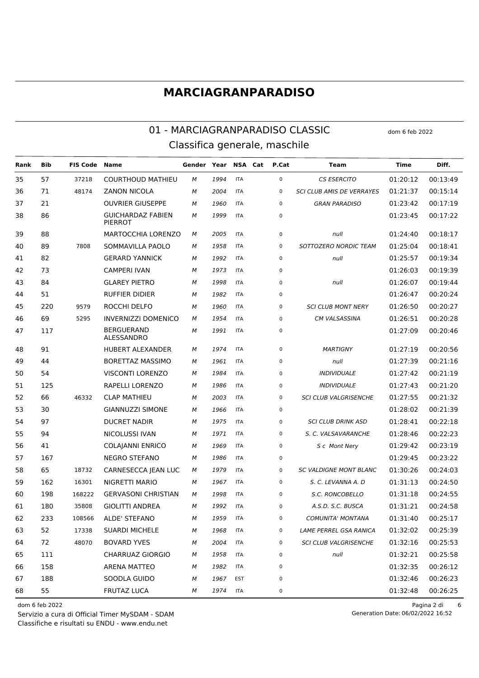#### 01 - MARCIAGRANPARADISO CLASSIC dom 6 feb 2022 Classifica generale, maschile

**Rank Bib FIS Code Name Gender Year NSA Cat P.Cat Team Time Diff.** 57 37218 COURTHOUD MATHIEU *M 1994* ITA 0 *CS ESERCITO* 01:20:12 00:13:49 71 48174 ZANON NICOLA *M 2004* ITA 0 *SCI CLUB AMIS DE VERRAYES* 01:21:37 00:15:14 21 OUVRIER GIUSEPPE *M 1960* ITA 0 *GRAN PARADISO* 01:23:42 00:17:19 GUICHARDAZ FABIEN *M 1999* ITA 0 01:23:45 00:17:22 PIERROT 88 MARTOCCHIA LORENZO *M 2005* ITA 0 *null* 01:24:40 00:18:17 89 7808 SOMMAVILLA PAOLO *M 1958* ITA 0 *SOTTOZERO NORDIC TEAM* 01:25:04 00:18:41 82 GERARD YANNICK *M 1992* ITA 0 *null* 01:25:57 00:19:34 73 CAMPERI IVAN *M 1973* ITA 0 01:26:03 00:19:39 84 GLAREY PIETRO *M 1998* ITA 0 *null* 01:26:07 00:19:44 51 RUFFIER DIDIER *M 1982* ITA 0 01:26:47 00:20:24 220 9579 ROCCHI DELFO *M 1960* ITA 0 *SCI CLUB MONT NERY* 01:26:50 00:20:27 69 5295 INVERNIZZI DOMENICO *M 1954* ITA 0 *CM VALSASSINA* 01:26:51 00:20:28 BERGUERAND ALESSANDRO *M 1991* ITA 0 01:27:09 00:20:46 91 HUBERT ALEXANDER *M 1974* ITA 0 *MARTIGNY* 01:27:19 00:20:56 44 BORETTAZ MASSIMO *M 1961* ITA 0 *null* 01:27:39 00:21:16 54 VISCONTI LORENZO *M 1984* ITA 0 *INDIVIDUALE* 01:27:42 00:21:19 125 RAPELLI LORENZO *M 1986* ITA 0 *INDIVIDUALE* 01:27:43 00:21:20 66 46332 CLAP MATHIEU *M 2003* ITA 0 *SCI CLUB VALGRISENCHE* 01:27:55 00:21:32 30 GIANNUZZI SIMONE *M 1966* ITA 0 01:28:02 00:21:39 97 DUCRET NADIR *M 1975* ITA 0 *SCI CLUB DRINK ASD* 01:28:41 00:22:18 94 NICOLUSSI IVAN *M 1971* ITA 0 *S. C. VALSAVARANCHE* 01:28:46 00:22:23 41 COLAJANNI ENRICO *M 1969* ITA 0 *S c Mont Nery* 01:29:42 00:23:19 167 NEGRO STEFANO *M 1986* ITA 0 01:29:45 00:23:22 65 18732 CARNESECCA JEAN LUC *M 1979* ITA 0 *SC VALDIGNE MONT BLANC* 01:30:26 00:24:03 162 16301 NIGRETTI MARIO *M 1967* ITA 0 *S. C. LEVANNA A. D* 01:31:13 00:24:50 198 168222 GERVASONI CHRISTIAN *M 1998* ITA 0 *S.C. RONCOBELLO* 01:31:18 00:24:55 180 35808 GIOLITTI ANDREA *M 1992* ITA 0 *A.S.D. S.C. BUSCA* 01:31:21 00:24:58 233 108566 ALDE' STEFANO *M 1959* ITA 0 *COMUNITA' MONTANA* 01:31:40 00:25:17 52 17338 SUARDI MICHELE *M 1968* ITA 0 *LAME PERREL GSA RANICA* 01:32:02 00:25:39 72 48070 BOVARD YVES *M 2004* ITA 0 *SCI CLUB VALGRISENCHE* 01:32:16 00:25:53 111 CHARRUAZ GIORGIO *M 1958* ITA 0 *null* 01:32:21 00:25:58 158 ARENA MATTEO *M 1982* ITA 0 01:32:35 00:26:12 188 SOODLA GUIDO *M 1967* EST 0 01:32:46 00:26:23 55 FRUTAZ LUCA *M 1974* ITA 0 01:32:48 00:26:25

Classifiche e risultati su ENDU - www.endu.net Servizio a cura di Official Timer MySDAM - SDAM

dom 6 feb 2022 Pagina 2 di 6 Generation Date: 06/02/2022 16:52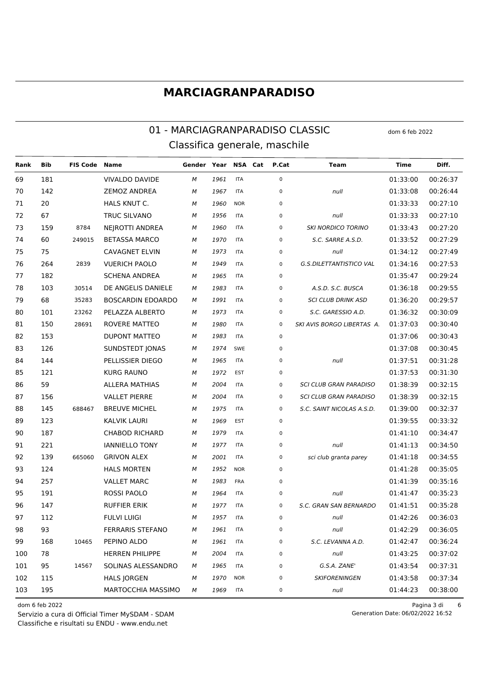### 01 - MARCIAGRANPARADISO CLASSIC dom 6 feb 2022 Classifica generale, maschile

**Rank Bib FIS Code Name Gender Year NSA Cat P.Cat Team Time Diff.** 181 VIVALDO DAVIDE *M 1961* ITA 0 01:33:00 00:26:37 142 ZEMOZ ANDREA *M 1967* ITA 0 *null* 01:33:08 00:26:44 20 HALS KNUT C. *M 1960* NOR 0 01:33:33 00:27:10 67 TRUC SILVANO *M 1956* ITA 0 *null* 01:33:33 00:27:10 159 8784 NEJROTTI ANDREA *M 1960* ITA 0 *SKI NORDICO TORINO* 01:33:43 00:27:20 60 249015 BETASSA MARCO *M 1970* ITA 0 *S.C. SARRE A.S.D.* 01:33:52 00:27:29 75 CAVAGNET ELVIN *M 1973* ITA 0 *null* 01:34:12 00:27:49 264 2839 VUERICH PAOLO *M 1949* ITA 0 *G.S.DILETTANTISTICO VAL* 01:34:16 00:27:53 182 SCHENA ANDREA *M 1965* ITA 0 01:35:47 00:29:24 103 30514 DE ANGELIS DANIELE *M 1983* ITA 0 *A.S.D. S.C. BUSCA* 01:36:18 00:29:55 68 35283 BOSCARDIN EDOARDO *M 1991* ITA 0 *SCI CLUB DRINK ASD* 01:36:20 00:29:57 101 23262 PELAZZA ALBERTO *M 1973* ITA 0 *S.C. GARESSIO A.D.* 01:36:32 00:30:09 150 28691 ROVERE MATTEO *M 1980* ITA 0 *SKI AVIS BORGO LIBERTAS A.* 01:37:03 00:30:40 153 DUPONT MATTEO *M 1983* ITA 0 01:37:06 00:30:43 126 SUNDSTEDT JONAS *M 1974* SWE 0 01:37:08 00:30:45 144 PELLISSIER DIEGO *M 1965* ITA 0 *null* 01:37:51 00:31:28 121 KURG RAUNO *M 1972* EST 0 01:37:53 00:31:30 59 ALLERA MATHIAS *M 2004* ITA 0 *SCI CLUB GRAN PARADISO* 01:38:39 00:32:15 156 VALLET PIERRE *M 2004* ITA 0 *SCI CLUB GRAN PARADISO* 01:38:39 00:32:15 145 688467 BREUVE MICHEL *M 1975* ITA 0 *S.C. SAINT NICOLAS A.S.D.* 01:39:00 00:32:37 123 KALVIK LAURI *M 1969* EST 0 01:39:55 00:33:32 187 CHABOD RICHARD *M 1979* ITA 0 01:41:10 00:34:47 221 IANNIELLO TONY *M 1977* ITA 0 *null* 01:41:13 00:34:50 139 665060 GRIVON ALEX *M 2001* ITA 0 *sci club granta parey* 01:41:18 00:34:55 124 HALS MORTEN *M 1952* NOR 0 01:41:28 00:35:05 257 VALLET MARC *M 1983* FRA 0 01:41:39 00:35:16 191 ROSSI PAOLO *M 1964* ITA 0 *null* 01:41:47 00:35:23 147 RUFFIER ERIK *M 1977* ITA 0 *S.C. GRAN SAN BERNARDO* 01:41:51 00:35:28 112 FULVI LUIGI *M 1957* ITA 0 *null* 01:42:26 00:36:03 93 FERRARIS STEFANO *M 1961* ITA 0 *null* 01:42:29 00:36:05 168 10465 PEPINO ALDO *M 1961* ITA 0 *S.C. LEVANNA A.D.* 01:42:47 00:36:24 78 HERREN PHILIPPE *M 2004* ITA 0 *null* 01:43:25 00:37:02 95 14567 SOLINAS ALESSANDRO *M 1965* ITA 0 *G.S.A. ZANE'* 01:43:54 00:37:31 115 HALS JORGEN *M 1970* NOR 0 *SKIFORENINGEN* 01:43:58 00:37:34 195 MARTOCCHIA MASSIMO *M 1969* ITA 0 *null* 01:44:23 00:38:00

Classifiche e risultati su ENDU - www.endu.net Servizio a cura di Official Timer MySDAM - SDAM

dom 6 feb 2022 Pagina 3 di 6 Generation Date: 06/02/2022 16:52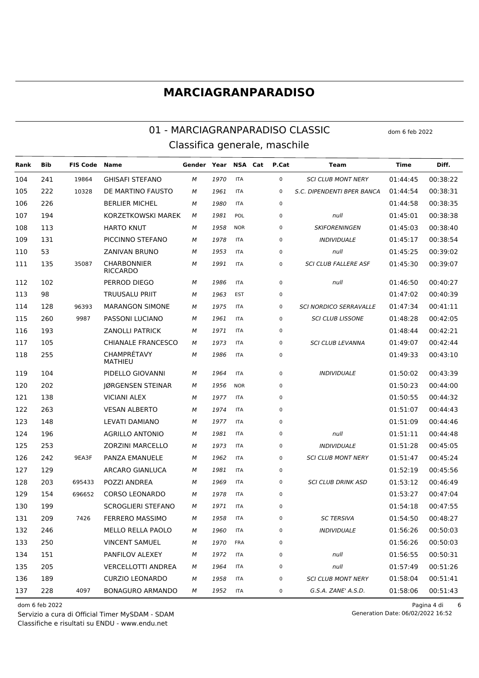#### 01 - MARCIAGRANPARADISO CLASSIC dom 6 feb 2022 Classifica generale, maschile

**Rank Bib FIS Code Name Gender Year NSA Cat P.Cat Team Time Diff.** 241 19864 GHISAFI STEFANO *M 1970* ITA 0 *SCI CLUB MONT NERY* 01:44:45 00:38:22 222 10328 DE MARTINO FAUSTO *M 1961* ITA 0 *S.C. DIPENDENTI BPER BANCA* 01:44:54 00:38:31 226 BERLIER MICHEL *M 1980* ITA 0 01:44:58 00:38:35 194 KORZETKOWSKI MAREK *M 1981* POL 0 *null* 01:45:01 00:38:38 113 HARTO KNUT *M 1958* NOR 0 *SKIFORENINGEN* 01:45:03 00:38:40 131 PICCINNO STEFANO *M 1978* ITA 0 *INDIVIDUALE* 01:45:17 00:38:54 53 ZANIVAN BRUNO *M 1953* ITA 0 *null* 01:45:25 00:39:02 CHARBONNIER RICCARDO 35087 *M 1991* ITA 0 *SCI CLUB FALLERE ASF* 01:45:30 00:39:07 102 PERROD DIEGO *M 1986* ITA 0 *null* 01:46:50 00:40:27 98 TRUUSALU PRIIT *M 1963* EST 0 01:47:02 00:40:39 128 96393 MARANGON SIMONE *M 1975* ITA 0 *SCI NORDICO SERRAVALLE* 01:47:34 00:41:11 260 9987 PASSONI LUCIANO *M 1961* ITA 0 *SCI CLUB LISSONE* 01:48:28 00:42:05 193 ZANOLLI PATRICK *M 1971* ITA 0 01:48:44 00:42:21 105 CHIANALE FRANCESCO *M 1973* ITA 0 *SCI CLUB LEVANNA* 01:49:07 00:42:44 CHAMPRÉTAVY MATHIEU *M 1986* ITA 0 01:49:33 00:43:10 104 PIDELLO GIOVANNI *M 1964* ITA 0 *INDIVIDUALE* 01:50:02 00:43:39 202 JØRGENSEN STEINAR *M 1956* NOR 0 01:50:23 00:44:00 138 VICIANI ALEX *M 1977* ITA 0 01:50:55 00:44:32 263 VESAN ALBERTO *M 1974* ITA 0 01:51:07 00:44:43 148 LEVATI DAMIANO *M 1977* ITA 0 01:51:09 00:44:46 196 AGRILLO ANTONIO *M 1981* ITA 0 *null* 01:51:11 00:44:48 253 ZORZINI MARCELLO *M 1973* ITA 0 *INDIVIDUALE* 01:51:28 00:45:05 242 9EA3F PANZA EMANUELE *M 1962* ITA 0 *SCI CLUB MONT NERY* 01:51:47 00:45:24 129 ARCARO GIANLUCA *M 1981* ITA 0 01:52:19 00:45:56 203 695433 POZZI ANDREA *M 1969* ITA 0 *SCI CLUB DRINK ASD* 01:53:12 00:46:49 154 696652 CORSO LEONARDO *M 1978* ITA 0 01:53:27 00:47:04 199 SCROGLIERI STEFANO *M 1971* ITA 0 01:54:18 00:47:55 209 7426 FERRERO MASSIMO *M 1958* ITA 0 *SC TERSIVA* 01:54:50 00:48:27 246 MELLO RELLA PAOLO *M 1960* ITA 0 *INDIVIDUALE* 01:56:26 00:50:03 250 VINCENT SAMUEL *M 1970* FRA 0 01:56:26 00:50:03 151 PANFILOV ALEXEY *M 1972* ITA 0 *null* 01:56:55 00:50:31 205 VERCELLOTTI ANDREA *M 1964* ITA 0 *null* 01:57:49 00:51:26 189 CURZIO LEONARDO *M 1958* ITA 0 *SCI CLUB MONT NERY* 01:58:04 00:51:41 228 4097 BONAGURO ARMANDO *M 1952* ITA 0 *G.S.A. ZANE' A.S.D.* 01:58:06 00:51:43

Classifiche e risultati su ENDU - www.endu.net Servizio a cura di Official Timer MySDAM - SDAM

dom 6 feb 2022 Pagina 4 di 6

Generation Date: 06/02/2022 16:52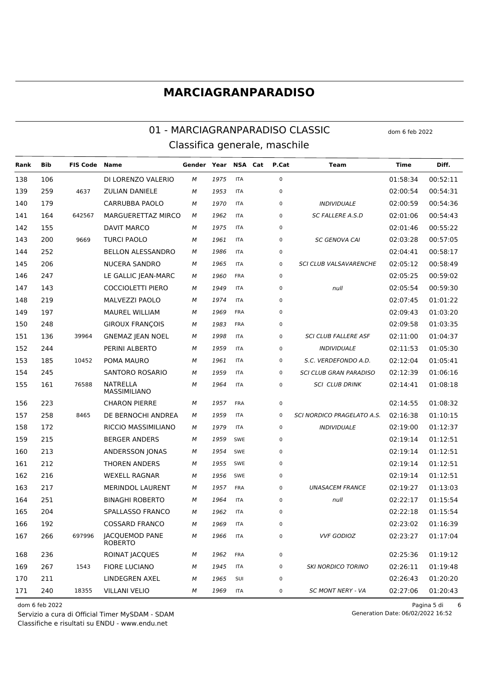### 01 - MARCIAGRANPARADISO CLASSIC dom 6 feb 2022 Classifica generale, maschile

**Rank Bib FIS Code Name Gender Year NSA Cat P.Cat Team Time Diff.** 106 DI LORENZO VALERIO *M 1975* ITA 0 01:58:34 00:52:11 259 4637 ZULIAN DANIELE *M 1953* ITA 0 02:00:54 00:54:31 179 CARRUBBA PAOLO *M 1970* ITA 0 *INDIVIDUALE* 02:00:59 00:54:36 164 642567 MARGUERETTAZ MIRCO *M 1962* ITA 0 *SC FALLERE A.S.D* 02:01:06 00:54:43 155 DAVIT MARCO *M 1975* ITA 0 02:01:46 00:55:22 200 9669 TURCI PAOLO *M 1961* ITA 0 *SC GENOVA CAI* 02:03:28 00:57:05 252 BELLON ALESSANDRO *M 1986* ITA 0 02:04:41 00:58:17 206 NUCERA SANDRO *M 1965* ITA 0 *SCI CLUB VALSAVARENCHE* 02:05:12 00:58:49 247 LE GALLIC JEAN-MARC *M 1960* FRA 0 02:05:25 00:59:02 143 COCCIOLETTI PIERO *M 1949* ITA 0 *null* 02:05:54 00:59:30 219 MALVEZZI PAOLO *M 1974* ITA 0 02:07:45 01:01:22 197 MAUREL WILLIAM *M 1969* FRA 0 02:09:43 01:03:20 248 GIROUX FRANÇOIS *M 1983* FRA 0 02:09:58 01:03:35 136 39964 GNEMAZ JEAN NOEL *M 1998* ITA 0 *SCI CLUB FALLERE ASF* 02:11:00 01:04:37 244 PERINI ALBERTO *M 1959* ITA 0 *INDIVIDUALE* 02:11:53 01:05:30 185 10452 POMA MAURO *M 1961* ITA 0 *S.C. VERDEFONDO A.D.* 02:12:04 01:05:41 245 SANTORO ROSARIO *M 1959* ITA 0 *SCI CLUB GRAN PARADISO* 02:12:39 01:06:16 NATRELLA MASSIMILIANO 76588 *M 1964* ITA 0 *SCI CLUB DRINK* 02:14:41 01:08:18 223 CHARON PIERRE *M 1957* FRA 0 02:14:55 01:08:32 258 8465 DE BERNOCHI ANDREA *M 1959* ITA 0 *SCI NORDICO PRAGELATO A.S.* 02:16:38 01:10:15 172 RICCIO MASSIMILIANO *M 1979* ITA 0 *INDIVIDUALE* 02:19:00 01:12:37 215 BERGER ANDERS *M 1959* SWE 0 02:19:14 01:12:51 213 ANDERSSON JONAS *M 1954* SWE 0 02:19:14 01:12:51 212 THOREN ANDERS *M 1955* SWE 0 02:19:14 01:12:51 216 WEXELL RAGNAR *M 1956* SWE 0 02:19:14 01:12:51 217 MERINDOL LAURENT *M 1957* FRA 0 *UNASACEM FRANCE* 02:19:27 01:13:03 251 BINAGHI ROBERTO *M 1964* ITA 0 *null* 02:22:17 01:15:54 204 SPALLASSO FRANCO *M 1962* ITA 0 02:22:18 01:15:54 192 COSSARD FRANCO *M 1969* ITA 0 02:23:02 01:16:39 JACQUEMOD PANE 697996 *M 1966* ITA 0 *VVF GODIOZ* 02:23:27 01:17:04 ROBERTO 236 ROINAT JACQUES *M 1962* FRA 0 02:25:36 01:19:12 267 1543 FIORE LUCIANO *M 1945* ITA 0 *SKI NORDICO TORINO* 02:26:11 01:19:48 211 LINDEGREN AXEL *M 1965* SUI 0 02:26:43 01:20:20 240 18355 VILLANI VELIO *M 1969* ITA 0 *SC MONT NERY - VA* 02:27:06 01:20:43

Classifiche e risultati su ENDU - www.endu.net Servizio a cura di Official Timer MySDAM - SDAM

dom 6 feb 2022 Pagina 5 di 6 Generation Date: 06/02/2022 16:52